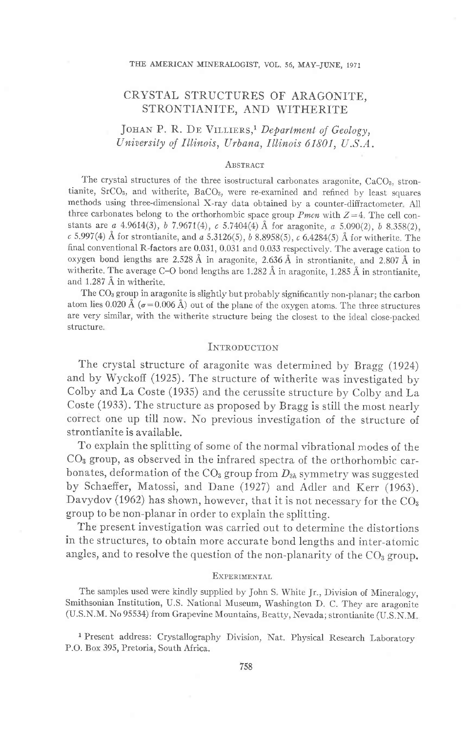#### THE AMERICAN MINERALOGIST, VOL. 56, MAY-JUNE, 1971

# CRYSTAL STRUCTURES OF ARAGONITE, STRONTIANITE, AND WITHERITE

# JOHAN P. R. DE VILLIERS,<sup>1</sup> Department of Geology, University of Illinois, Urbana, Illinois 61801, U.S.A.

### **ABSTRACT**

The crystal structures of the three isostructural carbonates aragonite,  $CaCO<sub>3</sub>$ , strontianite, SrCO<sub>3</sub>, and witherite, BaCO<sub>3</sub>, were re-examined and refined by least squares methods using three-dimensional X-ray data obtained by a counter-diffractometer A1l three carbonates belong to the orthorhombic space group *Pmcn* with  $Z=4$ . The cell constants are  $a$  4.9614(3), b 7.9671(4),  $c$  5.7404(4) Å for aragonite,  $a$  5.090(2), b 8.358(2),  $\epsilon$  5.997(4)  $\rm \AA$  for strontianite, and  $a$  5.3126(5),  $b$  8.8958(5),  $\epsilon$  6.4284(5)  $\rm \AA$  for witherite. The final conventional R-factors are 0.031, 0.031 and 0.033 respectively. The average cation to oxygen bond lengths are 2.528 A in aragonite, 2.\$6 A in strontianite, and 2.807 A in witherite. The average C-O bond lengths are 1.282  $\AA$  in aragonite, 1.285  $\AA$  in strontianite, and 1.287 A in witherite.

The COa group in aragonite is slightly but probably significantly non-planar; the carbon atom lies 0.020 Å ( $\sigma$ =0.006 Å) out of the plane of the oxygen atoms. The three structures are very similar, with the witherite structure being the closest to the ideal close-packed structure.

# INTRODUCTION

The crystal structure of aragonite was determined by Bragg (1924) and by Wyckoff (1925). The structure of witherite was investigated by Colby and La Coste (1935) and the cerussite structure by Colby and La Coste (1933). The structure as proposed by Bragg is still the most nearly correct one up till now. No previous investigation of the structure of strontianite is available.

To explain the splitting of some of the normal vibrationai modes of the CO3 group, as observed in the infrared spectra of the orthorhombic carbonates, deformation of the  $CO<sub>3</sub>$  group from  $D<sub>3h</sub>$  symmetry was suggested by Schaeffer, Matossi, and Dane (1927) and Adler and Kerr (1963). Davydov (1962) has shown, however, that it is not necessary for the  $CO<sub>3</sub>$ group to be non-planar in order to explain the splitting.

The present investigation was carried out to determine the distortions in the structures, to obtain more accurate bond lengths and inter-atomic angles, and to resolve the question of the non-planarity of the  $CO<sub>3</sub>$  group.

## **EXPERIMENTAL**

The samples used were kindly supplied by John S. White Jr., Division of Mineralogy, Smithsonian Institution, U.S. National Museum, Washington D. C. They are aragonite (U.S.N.M. No 95534) from Grapevine Mountains, Beatty, Nevada; strontianite (U.S.N.M

<sup>1</sup> Present address: Crystallography Division, Nat. Physical Research Laboratory P.O. Box 395, Pretoria, South Africa.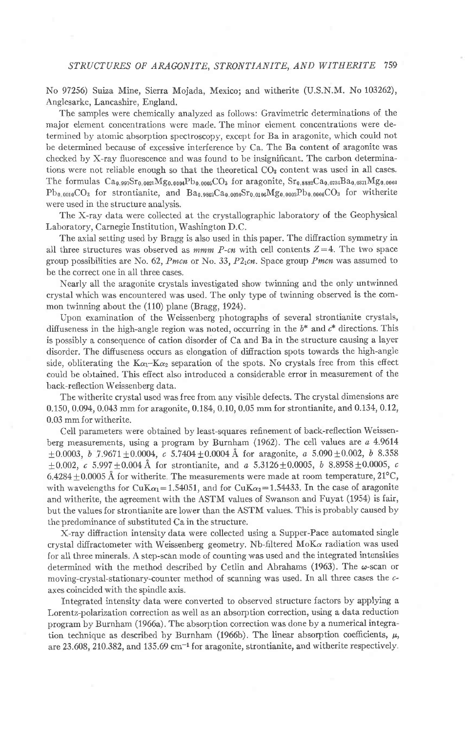No 97256) Suiza Mine, Sierra Mojada, Mexico; and witherite (U.S.N.M. No 103262), Anglesarke, Lancashire, England.

The samples were chemically analyzed as follows: Gravimetric determinations of the major element concentrations were made. The minor element concentrations were determined by atomic absorption spectroscopy, except for Ba in aragonite, which could not be determined because of excessive interference by Ca. The Ba content of aragonite was checked by X-ray fluorescence and was found to be insignificant. The carbon determinations were not reliable enough so that the theoretical  $CO<sub>3</sub>$  content was used in all cases. The formulas  $Ca_{0.997}Sr_{0.0021}Mg_{0.0004}Pb_{0.0005}CO_3$  for aragonite,  $Sr_{0.8882}Ca_{0.0734}Ba_{0.0371}Mg_{0.0003}$  $Pb_{0.0010}CO<sub>3</sub>$  for strontianite, and  $Ba<sub>0.9882</sub>Ca<sub>0.092</sub>Sn<sub>0.0082</sub>Po<sub>0.0008</sub>CO<sub>3</sub>$  for witherite were used in the structure analysis.

The X-ray data were collected at the crystallographic laboratory of the Geophysical Laboratory, Carnegie Institution, Washington D.C.

The axial setting used by Bragg is also used in this paper. The difiraction symmetry in all three structures was observed as  $mmm$  P-cn with cell contents  $Z=4$ . The two space group possibilities are No. 62, Pmcn or No. 33,  $P2_1cn$ . Space group Pmcn was assumed to be the correct one in all three cases.

Nearly all the aragonite crystals investigated show twinning and the only untwinned crystal which was encountered was used. The only type of twinning observed is the common twinning about the (110) plane (Bragg, 1924).

Upon examination of the Weissenberg photographs of several strontianite crystals, diffuseness in the high-angle region was noted, occurring in the  $b^*$  and  $c^*$  directions. This is possibly a consequence of cation disorder of Ca and Ba in the structure causing a layer disorder. The diffuseness occurs as elongation of difiraction spots towards the high-angle side, obliterating the  $K_{\alpha_1} - K_{\alpha_2}$  separation of the spots. No crystals free from this effect could be obtained. This effect also introduced a considerable error in measurement of the back-reflection Weissenberg data.

The witherite crystal used was free from any visible defects. The crystal dimensions are 0.150, 0.094, 0.043 mm for aragonite, 0.184, 0.10, 0.05 mm for strontianite, and 0.134, 0.12, 0.03 mm for witherite.

Cell parameters were obtained by least-squares refinement of back-reflection Weissenberg measurements, using a program by Burnham (1962). The cell values are  $a$  4.9614  $\pm 0.0003$ , b 7.9671 $\pm 0.0004$ , c 5.7404 $\pm 0.0004$  Å for aragonite, a 5.090 $\pm 0.002$ , b 8.358  $+0.002$ , c 5.997 $+0.004$  Å for strontianite, and a 5.3126 $\pm$ 0.0005, b 8.8958 $\pm$ 0.0005, c  $6.4284 + 0.0005$  Å for witherite. The measurements were made at room temperature,  $21^{\circ}$ C, with wavelengths for CuK $\alpha_1$  = 1.54051, and for CuK $\alpha_2$  = 1.54433. In the case of aragonite and witherite, the agreement with the ASTM values of Swanson and Fuyat (1954) is fair, but the values for strontianite are lower than the ASTM values. This is probably caused by the predominance of substituted Ca in the structure.

X-ray diffraction intensity data were collected using a Supper-Pace automated single crystal diffractometer with Weissenberg geometry. Nb-filtered  $M_0K_\alpha$  radiation was used for all three minerals. A step-scan mode of counting was used and the integrated intensities determined with the method described by Cetlin and Abrahams (1963). The  $\omega$ -scan or moving-crystal-stationary-counter method of scanning was used. In all three cases the caxes coincided with the spindle axis.

Integrated intensity data were converted to observed structure factors by applying a Lorcntz-polarization correction as weil as an absorption correction, using a data reduction program by Burnham (1966a). The absorption correction was done by a numerical integration technique as described by Burnham (1966b). The linear absorption coefficients,  $\mu$ , are  $23.608$ ,  $210.382$ , and  $135.69$  cm<sup>-1</sup> for aragonite, strontianite, and witherite respectively.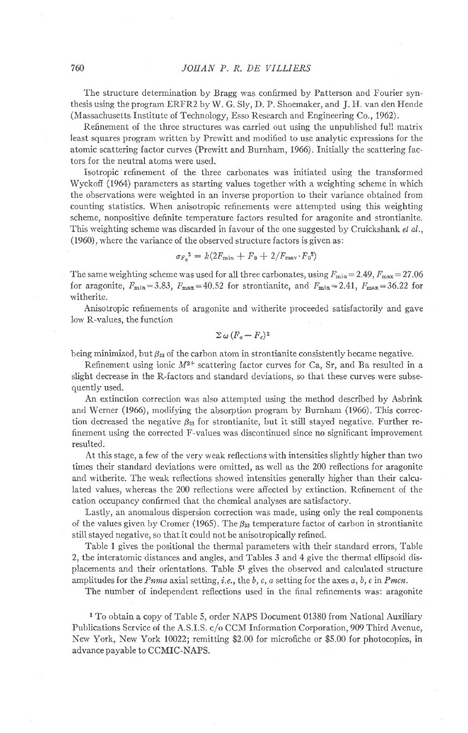The structure determination by Bragg was confirmed by Patterson and Fourier synthesis using the program ERFR2 by W. G. Sly, D. P. Shoemaker, and J. H. van den Hende (Massachusetts Institute of Technology, Esso Research and Engineering Co., 1962).

Refinement of the three structures was carried out using the unpublished full matrix least squares program written by Prewitt and modified to use analytic expressions for the atomic scattering {actor curves (Prewitt and Burnham, 1966). Initially the scattering factors for the neutral atoms were used.

Isotropic refinement of the three carbonates was initiated using the transformed Wyckoff (1964) parameters as starting values together with a weighting scheme in which the observations were weighted in an inverse proportion to their variance obtained from counting statistics. When anisotropic refinements were attempted using this weighting scheme, nonpositive definite temperature factors resulted for aragonite and strontianite. This weighting scheme was discarded in favour of the one suggested by Cruickshank et al., (1960), where the variance of the observed structure factors is given as

$$
\sigma_{F_0}^2 = k(2F_{\min} + F_0 + 2/F_{\max} \cdot F_0^2)
$$

The same weighting scheme was used for all three carbonates, using  $F_{\text{min}} = 2.49$ ,  $F_{\text{max}} = 27.06$ for aragonite,  $F_{\min} = 3.83$ ,  $F_{\max} = 40.52$  for strontianite, and  $F_{\min} = 2.41$ ,  $F_{\max} = 36.22$  for witherite.

Anisotropic refinements of aragonite and witherite proceeded satisfactorily and gave low R-values, the function

$$
\Sigma \omega (F_o - F_c)^2
$$

being minimized, but  $\beta_{33}$  of the carbon atom in strontianite consistently became negative.

Refinement using ionic  $M^{2+}$  scattering factor curves for Ca, Sr, and Ba resulted in a slight decrease in the R-factors and standard deviations, so that these curves were subsequently used.

An extinction correction was also attempted using the method described by Asbrink and Werner (1966), modifying the absorption program by Burnham (1966). This correction decreased the negative  $\beta_{33}$  for strontianite, but it still stayed negative. Further refinement using the corrected F-values was discontinued since no significant improvement resulted.

At this stage, a few of the very weak reflections with intensities slightly higher than two times their standard deviations were omitted, as well as the 200 reflections for aragonite and witherite. The weak reflections showed intensities generally higher than their calcu-Iated values, whereas the 200 reflections were afiected by extinction. Refinement of the cation occupancy conirmed that the chemical analyses are satisfactory.

Lastly, an anomalous dispersion correction was made, using only the real components of the values given by Cromer (1965). The  $\beta_{33}$  temperature factor of carbon in strontianite still stayed negative, so that it could not be anisotropically refined.

Table 1 gives the positional the thermal parameters with their standard errors, Table 2, the interatomic distances and angles, and Tables 3 and 4 give the thermal ellipsoid displacements and their orientations. Table 51 gives the observed and calculated structure amplitudes for the  $Pnma$  axial setting, i.e., the b, c, a setting for the axes  $a, b, c$  in  $Pmcn$ .

The number of independent reflections used in the final refinements was: aragonite

I To obtain a copy of Table 5, order NAPS Document 01380 from National Auxiliary Publications Service of the A.S.I S. c/o CCM Information Corporation, 909 Third Avenue, New York, New York 10022; remitting \$2.00 for microfiche or \$5.00 for photocopies, in advance payable to CCMIC-NAPS.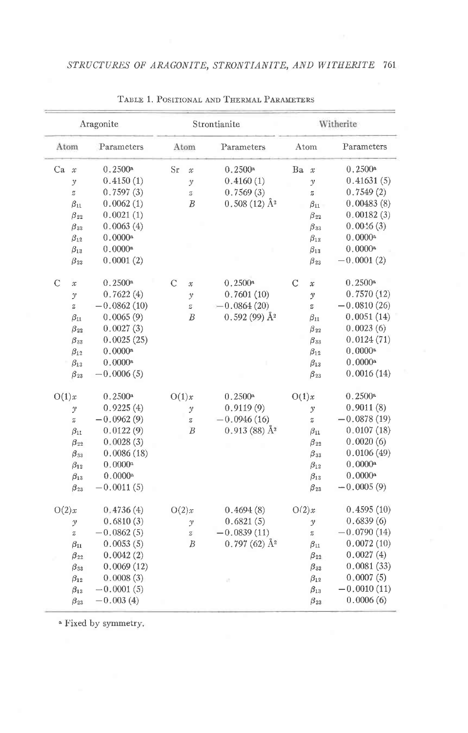| Aragonite     |               | Strontianite  |                |                                                  | Witherite                      |               |                  |                       |
|---------------|---------------|---------------|----------------|--------------------------------------------------|--------------------------------|---------------|------------------|-----------------------|
| Atom          |               | Parameters    | Atom           |                                                  | Parameters                     |               | Atom             | Parameters            |
| Ca            | $\mathcal{X}$ | 0.2500a       | Sr             | $\mathcal{X}$                                    | 0.2500 <sup>a</sup>            | Ba            | $\mathcal{X}$    | $0.2500*$             |
|               | $\mathcal{Y}$ | 0.4150(1)     |                | $\mathcal{Y}$                                    | 0.4160(1)                      |               | $\mathcal{Y}$    | 0.41631(5)            |
|               | $\it{z}$      | 0.7597(3)     |                | $\overline{z}$                                   | 0.7569(3)                      |               | $\boldsymbol{z}$ | 0.7549(2)             |
|               | $\beta_{11}$  | 0.0062(1)     |                | $\boldsymbol{B}$                                 | $0.508(12)$ $\AA$ <sup>2</sup> |               | $\beta_{11}$     | 0.00483(8)            |
|               | $\beta_{22}$  | 0.0021(1)     |                |                                                  |                                |               | $\beta_{22}$     | 0.00182(3)            |
|               | $\beta_{33}$  | 0.0063(4)     |                |                                                  |                                |               | $\beta_{33}$     | 0.0046(3)             |
|               | $\beta_{12}$  | 0.0000a       |                |                                                  |                                |               | $\beta_{12}$     | 0.0000a               |
|               | $\beta_{13}$  | 0.0000a       |                |                                                  |                                |               | $\beta_{13}$     | 0.0000a               |
|               | $\beta_{23}$  | 0.0001(2)     |                |                                                  |                                |               | $\beta_{23}$     | $-0.0001(2)$          |
| $\mathcal{C}$ | $\mathcal{X}$ | 0.2500a       | $\overline{C}$ | $\mathcal{X}$                                    | 0.2500a                        | $\mathcal{C}$ | $\mathcal{X}$    | $0.2500*$             |
|               | $\mathcal{Y}$ | 0.7622(4)     |                | $\mathcal{Y}$                                    | 0.7601(10)                     |               | $\mathcal{Y}$    | 0.7570(12)            |
|               | $\rm{Z}$      | $-0.0862(10)$ |                | $\stackrel{\scriptstyle{c}}{\scriptstyle{\sim}}$ | $-0.0864(20)$                  |               | $\rm{z}$         | $-0.0810(26)$         |
|               | $\beta_{11}$  | 0.0065(9)     |                | $\boldsymbol{B}$                                 | $0.592(99)$ $\AA$ <sup>2</sup> |               | $\beta_{11}$     | 0.0051(14)            |
|               | $\beta_{22}$  | 0.0027(3)     |                |                                                  |                                |               | $\beta_{22}$     | 0.0023(6)             |
|               | $\beta_{33}$  | 0.0025(25)    |                |                                                  |                                |               | $\beta_{33}$     | 0.0124(71)            |
|               | $\beta_{12}$  | 0.0000a       |                |                                                  |                                |               | $\beta_{12}$     | 0.0000a               |
|               | $\beta_{13}$  | 0.0000a       |                |                                                  |                                |               | $\beta_{13}$     | 0.0000a               |
|               | $\beta_{23}$  | $-0.0006(5)$  |                |                                                  |                                |               | $\beta_{23}$     | 0.0016(14)            |
| O(1)x         |               | 0.2500a       | O(1)x          |                                                  | 0.2500a                        | O(1)x         |                  | $0.2500$ a            |
|               | y             | 0.9225(4)     |                | $\mathcal{Y}$                                    | 0.9119(9)                      |               | $\mathcal{Y}$    | 0.9011(8)             |
|               | $\bar{z}$     | $-0.0962(9)$  |                | z                                                | $-0.0946(16)$                  |               | $\tilde{z}$      | $-0.0878(19)$         |
|               | $\beta_{11}$  | 0.0122(9)     |                | $\overline{B}$                                   | $0.913(88)$ $\AA$ <sup>2</sup> |               | $\beta_{11}$     | 0.0107(18)            |
|               | $\beta_{22}$  | 0.0028(3)     |                |                                                  |                                |               | $\beta_{22}$     | 0.0020(6)             |
|               | $\beta_{33}$  | 0.0086(18)    |                |                                                  |                                |               | $\beta_{33}$     | 0.0106(49)            |
|               | $\beta_{12}$  | 0.0000a       |                |                                                  |                                |               | $\beta_{12}$     | 0.0000a               |
|               | $\beta_{13}$  | 0.0000a       |                |                                                  |                                |               | $\beta_{13}$     | $0.0000$ <sup>a</sup> |
|               | $\beta_{23}$  | $-0.0011(5)$  |                |                                                  |                                |               | $\beta_{23}$     | $-0.0005(9)$          |
| O(2)x         |               | 0.4736(4)     | O(2)x          |                                                  | 0.4694(8)                      | O(2)x         |                  | 0.4595(10)            |
|               | $\mathcal{Y}$ | 0.6810(3)     |                | $\mathcal{Y}$                                    | 0.6821(5)                      |               | $\mathcal{Y}$    | 0.6839(6)             |
|               | $\tilde{z}$   | $-0.0862(5)$  |                | $\boldsymbol{z}$                                 | $-0.0839(11)$                  |               | $\rm{z}$         | $-0.0790(14)$         |
|               | $\beta_{11}$  | 0.0053(5)     |                | B                                                | $0.797(62)$ Å <sup>2</sup>     |               | $\beta_{11}$     | 0.0072(10)            |
|               | $\beta_{22}$  | 0.0042(2)     |                |                                                  |                                |               | $\beta_{22}$     | 0.0027(4)             |
|               | $\beta_{33}$  | 0.0069(12)    |                |                                                  |                                |               | $\beta_{33}$     | 0.0081(33)            |
|               | $\beta_{12}$  | 0.0008(3)     |                |                                                  |                                |               | $\beta_{12}$     | 0.0007(5)             |
|               | $\beta_{13}$  | $-0.0001(5)$  |                |                                                  |                                |               | $\beta_{13}$     | $-0.0010(11)$         |
|               | $\beta_{23}$  | $-0.003(4)$   |                |                                                  |                                |               | $\beta_{23}$     | 0.0006(6)             |

TABLE 1. POSITIONAL AND THERMAL PARAMETERS

<sup>a</sup> Fixed by symmetry.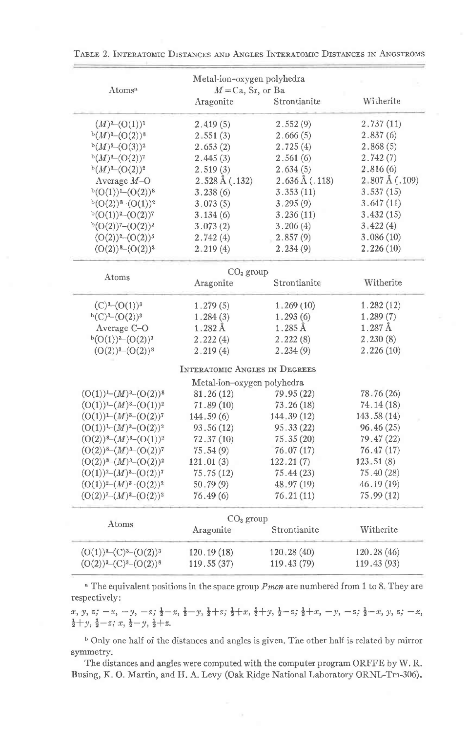| Atoms <sup>a</sup>                                               | Metal-ion-oxygen polyhedra<br>$M = Ca$ , Sr, or Ba |                            |                          |
|------------------------------------------------------------------|----------------------------------------------------|----------------------------|--------------------------|
|                                                                  | Aragonite                                          | Strontianite               | Witherite                |
| $(M)^{3}-(O(1))^{1}$                                             | 2.419(5)                                           | 2.552(9)                   | 2.737(11)                |
| $^{b}(M)^{3}-(O(2))^{8}$                                         | 2,551(3)                                           | 2.666(5)                   | 2.837(6)                 |
| $^{b}(M)^{3}-(O(3))^{2}$                                         | 2.653(2)                                           | 2.725(4)                   | 2.868(5)                 |
| $^{b}(M)^{3}-(O(2))^{7}$                                         | 2.445(3)                                           | 2.561(6)                   | 2.742(7)                 |
| $b(M)^3-(O(2))^2$                                                | 2.519(3)                                           | 2.634(5)                   | 2.816(6)                 |
| Average $M-O$                                                    | $2.528\,\text{\AA}$ (.132)                         | $2.636\,\text{\AA}$ (.118) | $2,807 \text{ Å}$ (.109) |
| $b(O(1))L(O(2))$ <sup>8</sup>                                    | 3.238(6)                                           | 3.353(11)                  | 3.537(15)                |
| $b(O(2))$ 8- $(O(1))$ <sup>2</sup>                               | 3.073(5)                                           | 3.295(9)                   | 3.647(11)                |
| $b(O(1))^{2}-(O(2))^{7}$                                         | 3.134(6)                                           | 3.236(11)                  | 3.432(15)                |
| $b(O(2))^{7}-(O(2))^{2}$                                         | 3.073(2)                                           | 3.206(4)                   | 3.422(4)                 |
| $(O(2))^{2}-(O(2))^{5}$                                          | 2.742(4)                                           | 2.857(9)                   | 3.086(10)                |
| $(O(2))$ <sup>8</sup> $-(O(2))$ <sup>3</sup>                     | 2,219(4)                                           | 2.234(9)                   | 2.226(10)                |
| Atoms                                                            | $CO3$ group                                        |                            |                          |
|                                                                  | Aragonite                                          | Strontianite               | Witherite                |
| $(C)^{3}-(O(1))^{3}$                                             | 1.279(5)                                           | 1,269(10)                  | 1.282(12)                |
| $b(C)^{3}-(O(2))^{3}$                                            | 1.284(3)                                           | 1.293(6)                   | 1.289(7)                 |
| Average C-O                                                      | $1.282 \text{ Å}$                                  | $1.285$ $\AA$              | $1.287 \text{ Å}$        |
| $b(O(1))$ <sup>3</sup> - $(O(2))$ <sup>3</sup>                   | 2.222(4)                                           | 2.222(8)                   | 2.230(8)                 |
| $(O(2))^{3}-(O(2))^{8}$                                          | 2.219(4)                                           | 2.234(9)                   | 2.226(10)                |
|                                                                  | <b>INTERATOMIC ANGLES IN DEGREES</b>               |                            |                          |
|                                                                  | Metal-ion-oxygen polyhedra                         |                            |                          |
| $(O(1)) - (M)^3 - (O(2))^8$                                      | 81.26(12)                                          | 79.95(22)                  | 78.76 (26)               |
| $(O(1)) - (M)^{3} - (O(1))^{2}$                                  | 71.89(10)                                          | 73.26(18)                  | 74.14 (18)               |
| $(O(1)) - (M)^3 - (O(2))^7$                                      | 144.59(6)                                          | 144, 39 (12)               | 143.58(14)               |
| $(O(1))$ – $(M)^3$ – $(O(2))^2$                                  | 93.56(12)                                          | 95.33 (22)                 | 96.46(25)                |
| $(O(2))^8-(M)^3-(O(1))^2$                                        | 72.37(10)                                          | 75.35(20)                  | 79.47 (22)               |
| $(O(2))^8-(M)^3-(O(2))^7$                                        | 75.54(9)                                           | 76.07(17)                  | 76.47 (17)               |
| $(O(2))$ <sup>8</sup> $-(M)$ <sup>3</sup> $-(O(2))$ <sup>2</sup> | 121.01(3)                                          | 122.21(7)                  | 123.51(8)                |
| $(O(1))^2-(M)^3-(O(2))^7$                                        | 75.75(12)                                          | 75.44(23)                  | 75.40(28)                |
| $(O(1))^{2}-(M)^{3}-(O(2))^{2}$                                  | 50.79(9)                                           | 48.97 (19)                 | 46.19(19)                |
| $(O(2))^{7}-(M)^{3}-(O(2))^{2}$                                  | 76.49(6)                                           | 76.21(11)                  | 75.99(12)                |
| Atoms                                                            | $CO3$ group                                        |                            |                          |
|                                                                  | Aragonite                                          | Strontianite               | Witherite                |
| $(O(1))^3$ - $(C)^3$ - $(O(2))^3$                                | 120.19(18)                                         | 120, 28(40)                | 120.28(46)               |
| $(O(2))^{3}$ - $(C)^{3}$ - $(O(2))^{8}$                          | 119.55(37)                                         | 119.43 (79)                | 119.43 (93)              |

TABLE 2. INTERATOMIC DISTANCES AND ANGLES INTERATOMIC DISTANCES IN ANGSTROMS

<sup>a</sup> The equivalent positions in the space group *Pmcn* are numbered from 1 to 8. They are respectively:

 $x, y, z; -x, -y, -z; \frac{1}{2} - x, \frac{1}{2} - y, \frac{1}{2} + z; \frac{1}{2} + x, \frac{1}{2} + y, \frac{1}{2} - z; \frac{1}{2} + x, -y, -z; \frac{1}{2} - x, y, z; -x,$  $\frac{1}{2} + y$ ,  $\frac{1}{2} - z$ ; x,  $\frac{1}{2} - y$ ,  $\frac{1}{2} + z$ .

<sup>b</sup> Only one half of the distances and angles is given. The other half is related by mirror symmetry.

The distances and angles were computed with the computer program ORFFE by W.R. Busing, K. O. Martin, and H. A. Levy (Oak Ridge National Laboratory ORNL-Tm-306).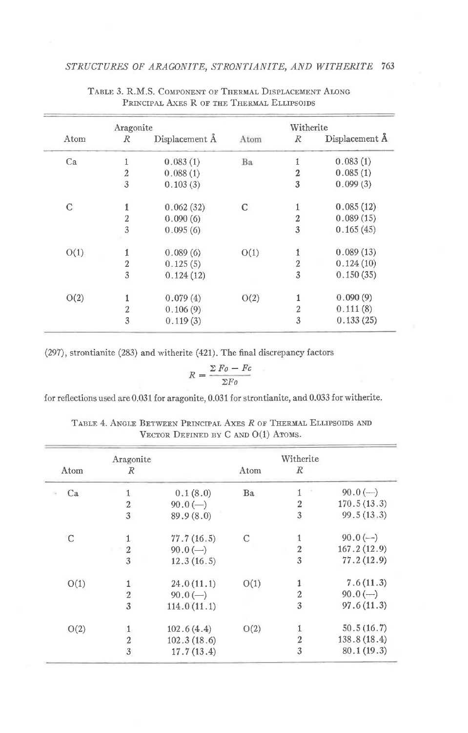|             | Aragonite        |                |      | Witherite        |                |
|-------------|------------------|----------------|------|------------------|----------------|
| Atom        | R                | Displacement A | Atom | $\mathbb{R}$     | Displacement A |
| Ca          |                  | 0.083(1)       | Ba   | 1                | 0.083(1)       |
|             | $\boldsymbol{2}$ | 0.088(1)       |      | 2                | 0.085(1)       |
|             | $\mathfrak{Z}$   | 0.103(3)       |      | 3                | 0.099(3)       |
| $\mathbf C$ |                  | 0.062(32)      | C    | 1                | 0.085(12)      |
|             | 2                | 0.090(6)       |      | $\overline{2}$   | 0.089(15)      |
|             | 3                | 0.095(6)       |      | 3                | 0.165(45)      |
| O(1)        | 1                | 0.089(6)       | O(1) | 1                | 0.089(13)      |
|             | $\overline{2}$   | 0.125(5)       |      | $\boldsymbol{2}$ | 0.124(10)      |
|             | 3                | 0.124(12)      |      | 3                | 0.150(35)      |
| O(2)        | 1                | 0.079(4)       | O(2) |                  | 0.090(9)       |
|             | $\overline{2}$   | 0.106(9)       |      | $\overline{2}$   | 0.111(8)       |
|             | 3                | 0.119(3)       |      | 3                | 0.133(25)      |

TABLE 3. R.M.S. COMPONENT OF THERMAL DISPLACEMENT ALONG PRINCIPAL AXES R OF THE THERMAL ELLIPSOIDS

(297), strontianite (283) and witherite (421). The final discrepancy factors

$$
R = \frac{\Sigma F_o - F_c}{\Sigma F_o}
$$

for reflections used are 0.031 for aragonite, 0.031 for strontianite, and 0.033 for witherite.

|      | Aragonite        |                                   |      | Witherite      |             |
|------|------------------|-----------------------------------|------|----------------|-------------|
| Atom | R                |                                   | Atom | R              |             |
| Ca   | 1                | 0.1(8.0)                          | Ba   | 1              | $90.0 (-)$  |
|      | $\boldsymbol{2}$ | $90.0(-)$                         |      | $\overline{2}$ | 170.5(13.3) |
|      | 3                | 89.9(8.0)                         |      | 3              | 99.5(13.3)  |
| C    |                  | 77.7(16.5)                        | C    | 1              | $90.0(-)$   |
|      | $\overline{2}$   | $90.0(-)$                         |      | $\overline{2}$ | 167.2(12.9) |
|      | 3                | 12.3(16.5)                        |      | 3              | 77.2(12.9)  |
| O(1) | 1                | 24.0(11.1)                        | O(1) | 1              | 7.6(11.3)   |
|      | $\boldsymbol{2}$ | $90.0 \left( \rightarrow \right)$ |      | $\mathbf{2}$   | $90.0 (-)$  |
|      | 3                | 114.0(11.1)                       |      | 3              | 97.6(11.3)  |
| O(2) | 1                | 102.6(4.4)                        | O(2) | 1              | 50.5(16.7)  |
|      | $\overline{2}$   | 102.3(18.6)                       |      | $\overline{2}$ | 138.8(18.4) |
|      | 3                | 17.7(13.4)                        |      | 3              | 80.1(19.3)  |

TABLE 4. ANGLE BETWEEN PRINCIPAL AXES R OF THERMAL ELLIPSOIDS AND VECTOR DEFINED BY  $C$  AND  $O(1)$  ATOMS.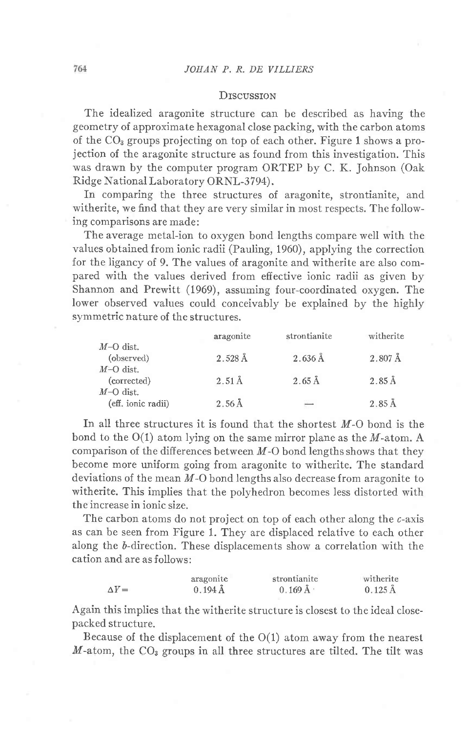## **D**rscussrom

The idealized aragonite structure can be described as having the geometry of approximate hexagonal close packing, with the carbon atoms of the  $CO<sub>3</sub>$  groups projecting on top of each other. Figure 1 shows a projection of the aragonite structure as found from this investigation. This was drawn by the computer program ORTEP by C. K. Johnson (Oak Ridge National Laboratory ORNL-3794).

In comparing the three structures of aragonite, strontianite, and witherite, we find that they are very similar in most respects. The following comparisons are made:

The average metal-ion to oxygen bond lengths compare well with the values obtained from ionic radii (Pauling, 1960), applying the correction for the ligancy of 9. The values of aragonite and witherite are also compared with the values derived from effective ionic radii as given by Shannon and Prewitt (1969), assuming four-coordinated oxygen. The lower observed values could conceivably be explained by the highly symmetric nature of the structures.

|                                                  | aragonite          | strontianite             | witherite            |
|--------------------------------------------------|--------------------|--------------------------|----------------------|
| $M-O$ dist.<br>(observed)                        | $2.528 \text{ Å}$  | $2.636\,\AA$             | $2.807\,\text{\AA}$  |
| $M\text{-}O$ dist.<br>(corrected)<br>$M-O$ dist. | $2.51 \text{\AA}$  | $2.65\,\mathrm{\AA}$     | $2.85\,\mathrm{\AA}$ |
| (eff. ionic radii)                               | $2.56\,\text{\AA}$ | $\overline{\phantom{a}}$ | $2.85\,\mathrm{\AA}$ |

In all three structures it is found that the shortest  $M$ -O bond is the bond to the  $O(1)$  atom lying on the same mirror plane as the M-atom. A comparison of the differences between  $M$ -O bond lengths shows that they become more uniform going from aragonite to witherite. The standard deviations of the mean  $M$ -O bond lengths also decrease from aragonite to witherite. This implies that the polyhedron becomes less distorted with the increase in ionic size.

The carbon atoms do not project on top of each other along the c-axis as can be seen from Figure 1. They are displaced relative to each other along the 6-direction. These displacements show a correlation with the cation and are as follows:

|              | aragonite           | strontianite          | witherite           |
|--------------|---------------------|-----------------------|---------------------|
| $\Delta Y =$ | $0.194\,\text{\AA}$ | $0.169\,\mathrm{\AA}$ | $0.125 \, \rm{\AA}$ |

Again this implies that the witherite structure is closest to the ideal closepacked structure.

Because of the displacement of the  $O(1)$  atom away from the nearest  $M$ -atom, the CO<sub>3</sub> groups in all three structures are tilted. The tilt was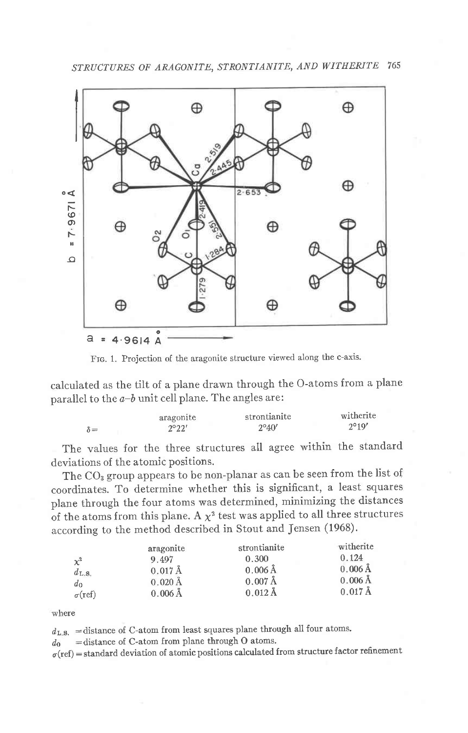

Frc. 1. Projection of the aragonite structure viewed along the c-axis.

calculated as the tilt of a plane drawn through the O-atoms from a plane parallel to the  $a-b$  unit cell plane. The angles are:

|            | aragonite      | strontianite   | witherite      |
|------------|----------------|----------------|----------------|
| $\delta =$ | $2^{\circ}22'$ | $2^{\circ}40'$ | $2^{\circ}19'$ |

The values for the three structures all agree within the standard deviations of the atomic positions.

The CO<sub>3</sub> group appears to be non-planar as can be seen from the list of coordinates. To determine whether this is significant, a least squares plane through the four atoms was determined, minimizing the distances of the atoms from this plane. A  $\chi^2$  test was applied to all three structures according to the method described in Stout and Jensen (1968).

|                   | aragonite             | strontianite        | witherite           |
|-------------------|-----------------------|---------------------|---------------------|
| $\chi^2$          | 9.497                 | 0.300               | 0.124               |
| $d_{\text{L.S.}}$ | $0.017 \, \text{\AA}$ | $0.006\,\text{\AA}$ | $0.006\,\text{\AA}$ |
| $d_0$             | $0.020 \, \rm \AA$    | $0.007$ Å           | $0.006$ Å           |
| $\sigma$ (ref)    | $0.006 \, \text{\AA}$ | $0.012\text{ Å}$    | $0.017 \text{ Å}$   |

where

 $d_{\text{L.S.}}$  = distance of C-atom from least squares plane through all four atoms.

 $d_0$  = distance of C-atom from plane through O atoms.

 $\sigma(\text{ref})$  = standard deviation of atomic positions calculated from structure factor refinement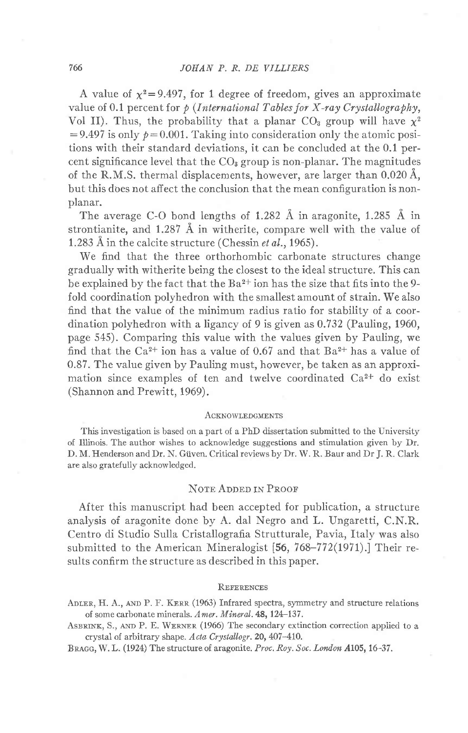A value of  $\chi^2$ =9.497, for 1 degree of freedom, gives an approximate value of 0.1 percent for  $p$  (International Tables for X-ray Crystallography, Vol II). Thus, the probability that a planar  $CO<sub>3</sub>$  group will have  $\chi^2$  $=9.497$  is only  $p=0.001$ . Taking into consideration only the atomic positions with their standard deviations, it can be concluded at the 0.1 percent significance level that the  $CO<sub>3</sub>$  group is non-planar. The magnitudes of the R.M.S. thermal displacements, however, are larger than  $0.020 \text{ Å}$ , but this does not affect the conclusion that the mean configuration is nonplanar.

The average C-O bond lengths of 1.282  $\AA$  in aragonite, 1.285  $\AA$  in strontianite, and  $1.287 \text{ Å}$  in witherite, compare well with the value of 1.283 Å in the calcite structure (Chessin et al., 1965).

We find that the three orthorhombic carbonate structures change gradually with witherite being the closest to the ideal structure. This can be explained by the fact that the  $Ba^{2+}$  ion has the size that fits into the 9fold coordination polyhedron with the smallest amount of strain. We also find that the value of the minimum radius ratio for stability of a coordination polyhedron with a ligancy of 9 is given as  $0.732$  (Pauling, 1960, page 545). Comparing this value with the values given by Pauling, we find that the  $Ca^{2+}$  ion has a value of 0.67 and that  $Ba^{2+}$  has a value of 0.87. The value given by Pauling must, however, be taken as an approximation since examples of ten and twelve coordinated Ca2+ do exist (Shannon and Prewitt, 1969).

#### ACKNOWLEDGMENTS

This investigation is based on a part of a PhD dissertation submitted to the University of Illinois. The author wishes to acknowledge suggestions and stimulation given by Dr. D. M. Henderson and Dr. N. Giiven. Critical reviews by Dr. W. R. Baur and Dr J. R. Clark are also gratefully acknowledged.

# NOTE ADDED IN PROOF

After this manuscript had been accepted for publication, a structure analysis of aragonite done by A. dal Negro and L. Ungaretti, C.N.R. Centro di Studio Sulla Cristallografia Strutturale, Pavia, Italy was also submitted to the American Mineralogist [56, 768-772(1971).] Their results confirm the structure as described in this paper.

## **REFERENCES**

- ADLER, H. A., AND P. F. KERR (1963) Infrared spectra, symmetry and structure relations of some carbonate minerals. Amer. Mineral.48,124-137.
- ASBRINK, S., AND P. E. WERNER (1966) The secondary extinction correction applied to a crystal of arbitrary shape. Acta Crystallogr. 20, 407-410.

BRAGG, W. L. (1924) The structure of aragonite. Proc. Roy. Soc. London A105, 16-37.